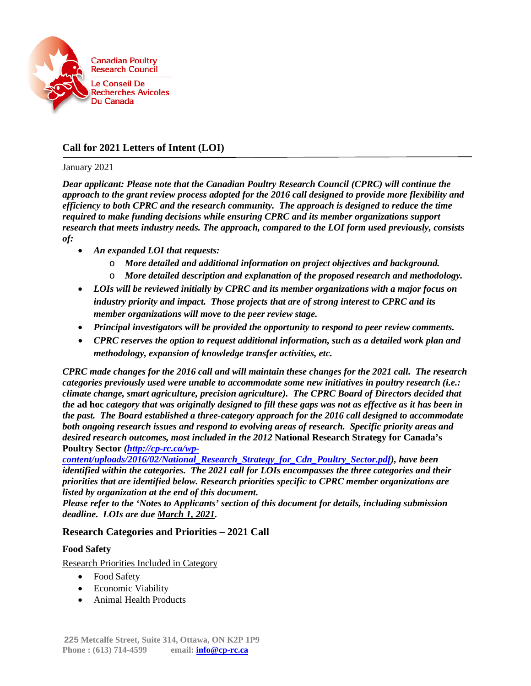

# **Call for 2021 Letters of Intent (LOI)**

#### January 2021

*Dear applicant: Please note that the Canadian Poultry Research Council (CPRC) will continue the approach to the grant review process adopted for the 2016 call designed to provide more flexibility and efficiency to both CPRC and the research community. The approach is designed to reduce the time required to make funding decisions while ensuring CPRC and its member organizations support research that meets industry needs. The approach, compared to the LOI form used previously, consists of:*

- *An expanded LOI that requests:*
	- o *More detailed and additional information on project objectives and background.*
	- o *More detailed description and explanation of the proposed research and methodology.*
- *LOIs will be reviewed initially by CPRC and its member organizations with a major focus on industry priority and impact. Those projects that are of strong interest to CPRC and its member organizations will move to the peer review stage.*
- *Principal investigators will be provided the opportunity to respond to peer review comments.*
- *CPRC reserves the option to request additional information, such as a detailed work plan and methodology, expansion of knowledge transfer activities, etc.*

*CPRC made changes for the 2016 call and will maintain these changes for the 2021 call. The research categories previously used were unable to accommodate some new initiatives in poultry research (i.e.: climate change, smart agriculture, precision agriculture). The CPRC Board of Directors decided that the* **ad hoc** *category that was originally designed to fill these gaps was not as effective as it has been in the past. The Board established a three-category approach for the 2016 call designed to accommodate both ongoing research issues and respond to evolving areas of research. Specific priority areas and desired research outcomes, most included in the 2012* **National Research Strategy for Canada's Poultry Sector** *[\(http://cp-rc.ca/wp-](http://cp-rc.ca/wp-content/uploads/2016/02/National_Research_Strategy_for_Cdn_Poultry_Sector.pdf)*

*[content/uploads/2016/02/National\\_Research\\_Strategy\\_for\\_Cdn\\_Poultry\\_Sector.pdf\)](http://cp-rc.ca/wp-content/uploads/2016/02/National_Research_Strategy_for_Cdn_Poultry_Sector.pdf), have been identified within the categories. The 2021 call for LOIs encompasses the three categories and their priorities that are identified below. Research priorities specific to CPRC member organizations are listed by organization at the end of this document.*

*Please refer to the 'Notes to Applicants' section of this document for details, including submission deadline. LOIs are due March 1, 2021.*

### **Research Categories and Priorities – 2021 Call**

#### **Food Safety**

Research Priorities Included in Category

- Food Safety
- Economic Viability
- Animal Health Products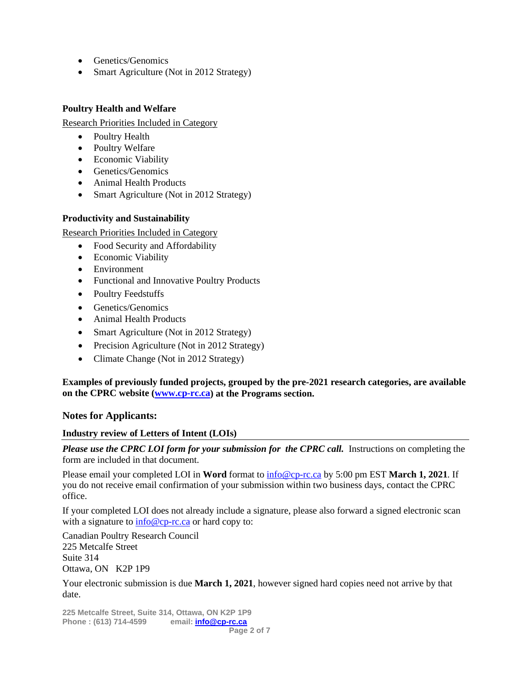- Genetics/Genomics
- Smart Agriculture (Not in 2012 Strategy)

#### **Poultry Health and Welfare**

Research Priorities Included in Category

- Poultry Health
- Poultry Welfare
- Economic Viability
- Genetics/Genomics
- Animal Health Products
- Smart Agriculture (Not in 2012 Strategy)

#### **Productivity and Sustainability**

Research Priorities Included in Category

- Food Security and Affordability
- Economic Viability
- Environment
- Functional and Innovative Poultry Products
- Poultry Feedstuffs
- Genetics/Genomics
- Animal Health Products
- Smart Agriculture (Not in 2012 Strategy)
- Precision Agriculture (Not in 2012 Strategy)
- Climate Change (Not in 2012 Strategy)

**Examples of previously funded projects, grouped by the pre-2021 research categories, are available on the CPRC website [\(www.cp-rc.ca\)](http://www.cp-rc.ca/) at the Programs section.**

### **Notes for Applicants:**

### **Industry review of Letters of Intent (LOIs)**

*Please use the CPRC LOI form for your submission for the CPRC call.* Instructions on completing the form are included in that document.

Please email your completed LOI in **Word** format to [info@cp-rc.ca](mailto:info@cp-rc.ca) by 5:00 pm EST **March 1, 2021**. If you do not receive email confirmation of your submission within two business days, contact the CPRC office.

If your completed LOI does not already include a signature, please also forward a signed electronic scan with a signature to  $\frac{info@cp-rc.ca}{info@cp-rc.ca}$  or hard copy to:

Canadian Poultry Research Council 225 Metcalfe Street Suite 314 Ottawa, ON K2P 1P9

Your electronic submission is due **March 1, 2021**, however signed hard copies need not arrive by that date.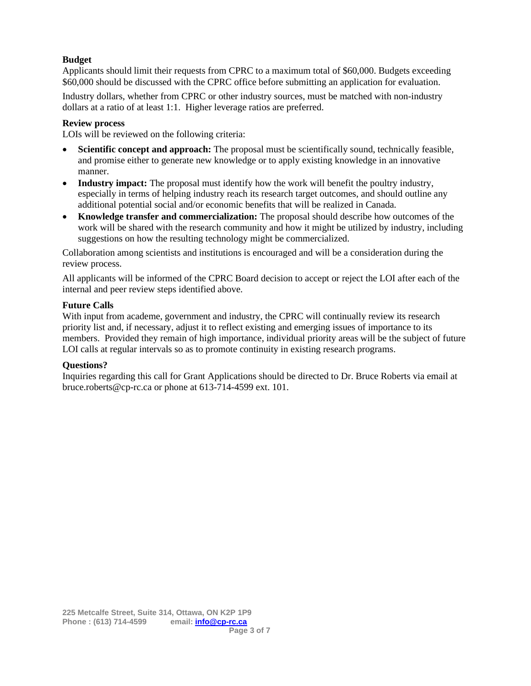### **Budget**

Applicants should limit their requests from CPRC to a maximum total of \$60,000. Budgets exceeding \$60,000 should be discussed with the CPRC office before submitting an application for evaluation.

Industry dollars, whether from CPRC or other industry sources, must be matched with non-industry dollars at a ratio of at least 1:1. Higher leverage ratios are preferred.

#### **Review process**

LOIs will be reviewed on the following criteria:

- **Scientific concept and approach:** The proposal must be scientifically sound, technically feasible, and promise either to generate new knowledge or to apply existing knowledge in an innovative manner.
- **Industry impact:** The proposal must identify how the work will benefit the poultry industry, especially in terms of helping industry reach its research target outcomes, and should outline any additional potential social and/or economic benefits that will be realized in Canada.
- **Knowledge transfer and commercialization:** The proposal should describe how outcomes of the work will be shared with the research community and how it might be utilized by industry, including suggestions on how the resulting technology might be commercialized.

Collaboration among scientists and institutions is encouraged and will be a consideration during the review process.

All applicants will be informed of the CPRC Board decision to accept or reject the LOI after each of the internal and peer review steps identified above.

#### **Future Calls**

With input from academe, government and industry, the CPRC will continually review its research priority list and, if necessary, adjust it to reflect existing and emerging issues of importance to its members. Provided they remain of high importance, individual priority areas will be the subject of future LOI calls at regular intervals so as to promote continuity in existing research programs.

#### **Questions?**

Inquiries regarding this call for Grant Applications should be directed to Dr. Bruce Roberts via email at bruce.roberts@cp-rc.ca or phone at 613-714-4599 ext. 101.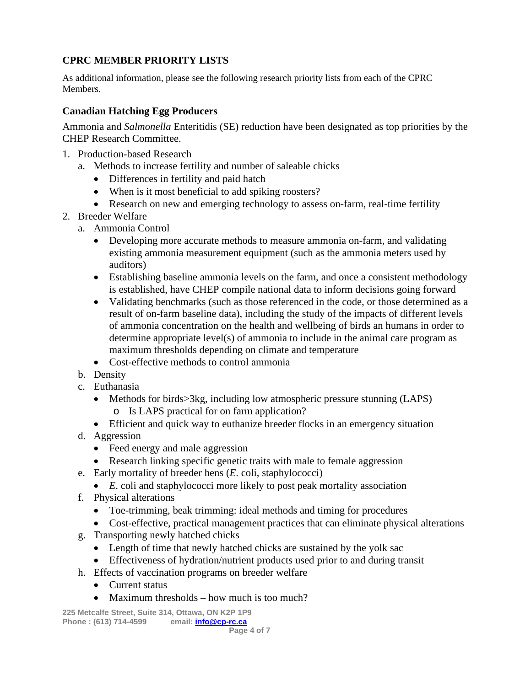# **CPRC MEMBER PRIORITY LISTS**

As additional information, please see the following research priority lists from each of the CPRC Members.

## **Canadian Hatching Egg Producers**

Ammonia and *Salmonella* Enteritidis (SE) reduction have been designated as top priorities by the CHEP Research Committee.

- 1. Production-based Research
	- a. Methods to increase fertility and number of saleable chicks
		- Differences in fertility and paid hatch
		- When is it most beneficial to add spiking roosters?
		- Research on new and emerging technology to assess on-farm, real-time fertility
- 2. Breeder Welfare
	- a. Ammonia Control
		- Developing more accurate methods to measure ammonia on-farm, and validating existing ammonia measurement equipment (such as the ammonia meters used by auditors)
		- Establishing baseline ammonia levels on the farm, and once a consistent methodology is established, have CHEP compile national data to inform decisions going forward
		- Validating benchmarks (such as those referenced in the code, or those determined as a result of on-farm baseline data), including the study of the impacts of different levels of ammonia concentration on the health and wellbeing of birds an humans in order to determine appropriate level(s) of ammonia to include in the animal care program as maximum thresholds depending on climate and temperature
		- Cost-effective methods to control ammonia
	- b. Density
	- c. Euthanasia
		- Methods for birds>3kg, including low atmospheric pressure stunning (LAPS) o Is LAPS practical for on farm application?
		- Efficient and quick way to euthanize breeder flocks in an emergency situation
	- d. Aggression
		- Feed energy and male aggression
		- Research linking specific genetic traits with male to female aggression
	- e. Early mortality of breeder hens (*E*. coli, staphylococci)
		- *E*. coli and staphylococci more likely to post peak mortality association
	- f. Physical alterations
		- Toe-trimming, beak trimming: ideal methods and timing for procedures
		- Cost-effective, practical management practices that can eliminate physical alterations
	- g. Transporting newly hatched chicks
		- Length of time that newly hatched chicks are sustained by the yolk sac
		- Effectiveness of hydration/nutrient products used prior to and during transit
	- h. Effects of vaccination programs on breeder welfare
		- Current status
		- Maximum thresholds how much is too much?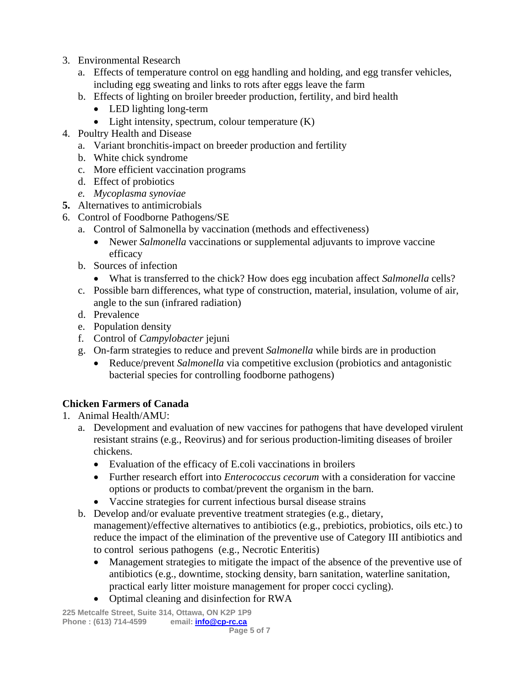- 3. Environmental Research
	- a. Effects of temperature control on egg handling and holding, and egg transfer vehicles, including egg sweating and links to rots after eggs leave the farm
	- b. Effects of lighting on broiler breeder production, fertility, and bird health
		- LED lighting long-term
		- Light intensity, spectrum, colour temperature  $(K)$
- 4. Poultry Health and Disease
	- a. Variant bronchitis-impact on breeder production and fertility
	- b. White chick syndrome
	- c. More efficient vaccination programs
	- d. Effect of probiotics
	- *e. Mycoplasma synoviae*
- **5.** Alternatives to antimicrobials
- 6. Control of Foodborne Pathogens/SE
	- a. Control of Salmonella by vaccination (methods and effectiveness)
		- Newer *Salmonella* vaccinations or supplemental adjuvants to improve vaccine efficacy
	- b. Sources of infection
		- What is transferred to the chick? How does egg incubation affect *Salmonella* cells?
	- c. Possible barn differences, what type of construction, material, insulation, volume of air, angle to the sun (infrared radiation)
	- d. Prevalence
	- e. Population density
	- f. Control of *Campylobacter* jejuni
	- g. On-farm strategies to reduce and prevent *Salmonella* while birds are in production
		- Reduce/prevent *Salmonella* via competitive exclusion (probiotics and antagonistic bacterial species for controlling foodborne pathogens)

# **Chicken Farmers of Canada**

- 1. Animal Health/AMU:
	- a. Development and evaluation of new vaccines for pathogens that have developed virulent resistant strains (e.g., Reovirus) and for serious production-limiting diseases of broiler chickens.
		- Evaluation of the efficacy of E.coli vaccinations in broilers
		- Further research effort into *Enterococcus cecorum* with a consideration for vaccine options or products to combat/prevent the organism in the barn.
		- Vaccine strategies for current infectious bursal disease strains
	- b. Develop and/or evaluate preventive treatment strategies (e.g., dietary, management)/effective alternatives to antibiotics (e.g., prebiotics, probiotics, oils etc.) to reduce the impact of the elimination of the preventive use of Category III antibiotics and to control serious pathogens (e.g., Necrotic Enteritis)
		- Management strategies to mitigate the impact of the absence of the preventive use of antibiotics (e.g., downtime, stocking density, barn sanitation, waterline sanitation, practical early litter moisture management for proper cocci cycling).
		- Optimal cleaning and disinfection for RWA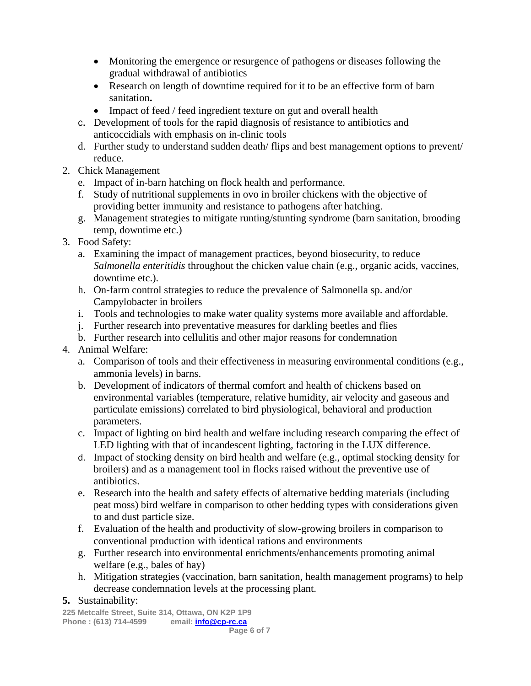- Monitoring the emergence or resurgence of pathogens or diseases following the gradual withdrawal of antibiotics
- Research on length of downtime required for it to be an effective form of barn sanitation**.**
- Impact of feed / feed ingredient texture on gut and overall health
- c. Development of tools for the rapid diagnosis of resistance to antibiotics and anticoccidials with emphasis on in-clinic tools
- d. Further study to understand sudden death/ flips and best management options to prevent/ reduce.
- 2. Chick Management
	- e. Impact of in-barn hatching on flock health and performance.
	- f. Study of nutritional supplements in ovo in broiler chickens with the objective of providing better immunity and resistance to pathogens after hatching.
	- g. Management strategies to mitigate runting/stunting syndrome (barn sanitation, brooding temp, downtime etc.)
- 3. Food Safety:
	- a. Examining the impact of management practices, beyond biosecurity, to reduce *Salmonella enteritidis* throughout the chicken value chain (e.g., organic acids, vaccines, downtime etc.).
	- h. On-farm control strategies to reduce the prevalence of Salmonella sp. and/or Campylobacter in broilers
	- i. Tools and technologies to make water quality systems more available and affordable.
	- j. Further research into preventative measures for darkling beetles and flies
	- b. Further research into cellulitis and other major reasons for condemnation
- 4. Animal Welfare:
	- a. Comparison of tools and their effectiveness in measuring environmental conditions (e.g., ammonia levels) in barns.
	- b. Development of indicators of thermal comfort and health of chickens based on environmental variables (temperature, relative humidity, air velocity and gaseous and particulate emissions) correlated to bird physiological, behavioral and production parameters.
	- c. Impact of lighting on bird health and welfare including research comparing the effect of LED lighting with that of incandescent lighting, factoring in the LUX difference.
	- d. Impact of stocking density on bird health and welfare (e.g., optimal stocking density for broilers) and as a management tool in flocks raised without the preventive use of antibiotics.
	- e. Research into the health and safety effects of alternative bedding materials (including peat moss) bird welfare in comparison to other bedding types with considerations given to and dust particle size.
	- f. Evaluation of the health and productivity of slow-growing broilers in comparison to conventional production with identical rations and environments
	- g. Further research into environmental enrichments/enhancements promoting animal welfare (e.g., bales of hay)
	- h. Mitigation strategies (vaccination, barn sanitation, health management programs) to help decrease condemnation levels at the processing plant.

### **5.** Sustainability: